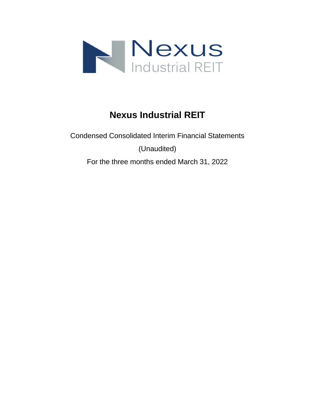

Condensed Consolidated Interim Financial Statements (Unaudited) For the three months ended March 31, 2022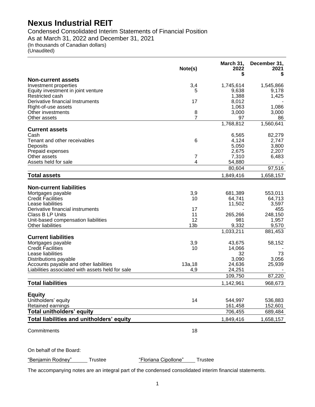Condensed Consolidated Interim Statements of Financial Position As at March 31, 2022 and December 31, 2021 (In thousands of Canadian dollars)

(Unaudited)

|                                                                 | Note(s)               | March 31,<br>2022<br>\$ | December 31,<br>2021<br>\$ |
|-----------------------------------------------------------------|-----------------------|-------------------------|----------------------------|
| <b>Non-current assets</b>                                       |                       |                         |                            |
| Investment properties                                           | 3,4                   | 1,745,614               | 1,545,866                  |
| Equity investment in joint venture                              | 5                     | 9,638                   | 9,178                      |
| Restricted cash                                                 |                       | 1,388                   | 1,425                      |
| Derivative financial Instruments                                | 17                    | 8,012                   |                            |
| Right-of-use assets<br>Other investments                        | 8                     | 1,063<br>3,000          | 1,086<br>3,000             |
| Other assets                                                    | $\overline{7}$        | 97                      | 86                         |
|                                                                 |                       | 1,768,812               | 1,560,641                  |
| <b>Current assets</b>                                           |                       |                         |                            |
| Cash                                                            |                       | 6,565                   | 82,279                     |
| Tenant and other receivables                                    | 6                     | 4,124                   | 2,747                      |
| Deposits                                                        |                       | 5,050                   | 3,800                      |
| Prepaid expenses<br>Other assets                                | 7                     | 2,675<br>7,310          | 2,207<br>6,483             |
| Assets held for sale                                            | 4                     | 54,880                  |                            |
|                                                                 |                       | 80,604                  | 97,516                     |
| <b>Total assets</b>                                             |                       | 1,849,416               | 1,658,157                  |
|                                                                 |                       |                         |                            |
| <b>Non-current liabilities</b>                                  |                       |                         |                            |
| Mortgages payable                                               | 3,9                   | 681,389                 | 553,011                    |
| <b>Credit Facilities</b>                                        | 10                    | 64,741                  | 64,713                     |
| Lease liabilities                                               |                       | 11,502                  | 3,597                      |
| Derivative financial instruments                                | 17                    |                         | 455                        |
| Class B LP Units                                                | 11                    | 265,266                 | 248,150                    |
| Unit-based compensation liabilities<br><b>Other liabilities</b> | 12<br>13 <sub>b</sub> | 981<br>9,332            | 1,957<br>9,570             |
|                                                                 |                       | 1,033,211               | 881,453                    |
| <b>Current liabilities</b>                                      |                       |                         |                            |
| Mortgages payable                                               | 3,9                   | 43,675                  | 58,152                     |
| <b>Credit Facilities</b>                                        | 10                    | 14,066                  |                            |
| Lease liabilities                                               |                       | 32                      | 73                         |
| Distributions payable                                           |                       | 3,090                   | 3,056                      |
| Accounts payable and other liabilities                          | 13a, 18               | 24,636                  | 25,939                     |
| Liabilities associated with assets held for sale                | 4,9                   | 24,251<br>109,750       | 87,220                     |
|                                                                 |                       |                         |                            |
| <b>Total liabilities</b>                                        |                       | 1,142,961               | 968,673                    |
| <b>Equity</b>                                                   |                       |                         |                            |
| Unitholders' equity                                             | 14                    | 544,997                 | 536,883                    |
| Retained earnings                                               |                       | 161,458                 | 152,601                    |
| <b>Total unitholders' equity</b>                                |                       | 706,455                 | 689,484                    |
| Total liabilities and unitholders' equity                       |                       | 1,849,416               | 1,658,157                  |
|                                                                 |                       |                         |                            |
| Commitments                                                     | 18                    |                         |                            |
|                                                                 |                       |                         |                            |

On behalf of the Board:

"Benjamin Rodney" Trustee "Floriana Cipollone" Trustee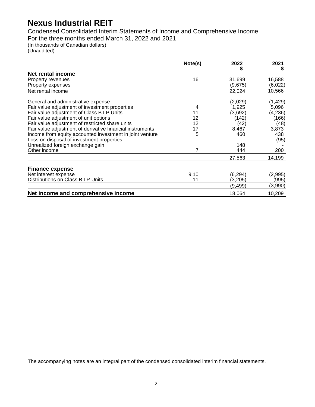Condensed Consolidated Interim Statements of Income and Comprehensive Income For the three months ended March 31, 2022 and 2021

(In thousands of Canadian dollars) (Unaudited)

|                                                           | Note(s) | 2022     | 2021     |
|-----------------------------------------------------------|---------|----------|----------|
| Net rental income                                         |         |          | S        |
| Property revenues                                         | 16      | 31,699   | 16,588   |
| Property expenses                                         |         | (9,675)  | (6,022)  |
| Net rental income                                         |         | 22,024   | 10,566   |
| General and administrative expense                        |         | (2,029)  | (1, 429) |
| Fair value adjustment of investment properties            | 4       | 1,925    | 5,096    |
| Fair value adjustment of Class B LP Units                 | 11      | (3,692)  | (4,236)  |
| Fair value adjustment of unit options                     | 12      | (142)    | (166)    |
| Fair value adjustment of restricted share units           | 12      | (42)     | (48)     |
| Fair value adjustment of derivative financial instruments | 17      | 8,467    | 3,873    |
| Income from equity accounted investment in joint venture  | 5       | 460      | 438      |
| Loss on disposal of investment properties                 |         |          | (95)     |
| Unrealized foreign exchange gain                          |         | 148      |          |
| Other income                                              | 7       | 444      | 200      |
|                                                           |         | 27,563   | 14,199   |
| <b>Finance expense</b>                                    |         |          |          |
| Net interest expense                                      | 9,10    | (6, 294) | (2,995)  |
| Distributions on Class B LP Units                         | 11      | (3,205)  | (995)    |
|                                                           |         | (9,499)  | (3,990)  |
| Net income and comprehensive income                       |         | 18,064   | 10,209   |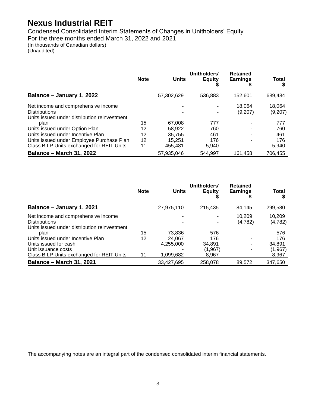Condensed Consolidated Interim Statements of Changes in Unitholders' Equity For the three months ended March 31, 2022 and 2021

(In thousands of Canadian dollars)

(Unaudited)

|                                                                                                             | <b>Note</b> | <b>Units</b> | Unitholders'<br><b>Equity</b> | <b>Retained</b><br><b>Earnings</b> | <b>Total</b>      |
|-------------------------------------------------------------------------------------------------------------|-------------|--------------|-------------------------------|------------------------------------|-------------------|
| Balance – January 1, 2022                                                                                   |             | 57,302,629   | 536,883                       | 152.601                            | 689,484           |
| Net income and comprehensive income<br><b>Distributions</b><br>Units issued under distribution reinvestment |             |              |                               | 18.064<br>(9,207)                  | 18.064<br>(9,207) |
| plan                                                                                                        | 15          | 67.008       | 777                           |                                    | 777               |
| Units issued under Option Plan                                                                              | 12          | 58.922       | 760                           |                                    | 760               |
| Units issued under Incentive Plan                                                                           | 12          | 35.755       | 461                           |                                    | 461               |
| Units issued under Employee Purchase Plan                                                                   | 12          | 15.251       | 176                           |                                    | 176               |
| Class B LP Units exchanged for REIT Units                                                                   | 11          | 455.481      | 5.940                         |                                    | 5.940             |
| <b>Balance - March 31, 2022</b>                                                                             |             | 57.935.046   | 544.997                       | 161.458                            | 706,455           |

|                                                                                                             | <b>Note</b> | <b>Units</b> | Unitholders'<br><b>Equity</b> | <b>Retained</b><br><b>Earnings</b> | Total             |
|-------------------------------------------------------------------------------------------------------------|-------------|--------------|-------------------------------|------------------------------------|-------------------|
| Balance - January 1, 2021                                                                                   |             | 27,975,110   | 215,435                       | 84.145                             | 299,580           |
| Net income and comprehensive income<br><b>Distributions</b><br>Units issued under distribution reinvestment |             |              |                               | 10.209<br>(4, 782)                 | 10,209<br>(4,782) |
| plan                                                                                                        | 15          | 73,836       | 576                           |                                    | 576               |
| Units issued under Incentive Plan                                                                           | 12          | 24.067       | 176                           |                                    | 176               |
| Units issued for cash                                                                                       |             | 4,255,000    | 34,891                        |                                    | 34,891            |
| Unit issuance costs                                                                                         |             |              | (1, 967)                      | ۰                                  | (1, 967)          |
| Class B LP Units exchanged for REIT Units                                                                   | 11          | 1,099,682    | 8,967                         |                                    | 8,967             |
| <b>Balance - March 31, 2021</b>                                                                             |             | 33,427,695   | 258,078                       | 89.572                             | 347,650           |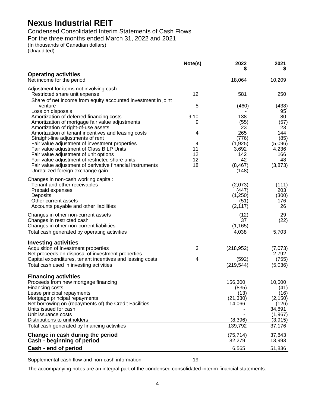Condensed Consolidated Interim Statements of Cash Flows For the three months ended March 31, 2022 and 2021 (In thousands of Canadian dollars) (Unaudited)

|                                                                                                                                                                                                                                                                                          | Note(s)                   | 2022                                                | 2021<br>S                                |
|------------------------------------------------------------------------------------------------------------------------------------------------------------------------------------------------------------------------------------------------------------------------------------------|---------------------------|-----------------------------------------------------|------------------------------------------|
| <b>Operating activities</b><br>Net income for the period                                                                                                                                                                                                                                 |                           | 18,064                                              | 10,209                                   |
| Adjustment for items not involving cash:<br>Restricted share unit expense                                                                                                                                                                                                                | 12                        | 581                                                 | 250                                      |
| Share of net income from equity accounted investment in joint<br>venture<br>Loss on disposals                                                                                                                                                                                            | 5                         | (460)                                               | (438)<br>95                              |
| Amortization of deferred financing costs<br>Amortization of mortgage fair value adjustments                                                                                                                                                                                              | 9,10<br>9                 | 138<br>(55)                                         | 80<br>(57)                               |
| Amortization of right-of-use assets<br>Amortization of tenant incentives and leasing costs<br>Straight-line adjustments of rent                                                                                                                                                          | 4                         | 23<br>265<br>(776)                                  | 23<br>144<br>(85)                        |
| Fair value adjustment of investment properties<br>Fair value adjustment of Class B LP Units<br>Fair value adjustment of unit options<br>Fair value adjustment of restricted share units<br>Fair value adjustment of derivative financial instruments<br>Unrealized foreign exchange gain | 4<br>11<br>12<br>12<br>18 | (1, 925)<br>3,692<br>142<br>42<br>(8, 467)<br>(148) | (5,096)<br>4,236<br>166<br>48<br>(3,873) |
| Changes in non-cash working capital:<br>Tenant and other receivables<br>Prepaid expenses<br>Deposits<br>Other current assets<br>Accounts payable and other liabilities                                                                                                                   |                           | (2,073)<br>(447)<br>(1,250)<br>(51)<br>(2, 117)     | (111)<br>203<br>(300)<br>176<br>26       |
| Changes in other non-current assets<br>Changes in restricted cash<br>Changes in other non-current liabilities                                                                                                                                                                            |                           | (12)<br>37<br>(1, 165)                              | 29<br>(22)                               |
| Total cash generated by operating activities                                                                                                                                                                                                                                             |                           | 4,038                                               | 5,703                                    |
| <b>Investing activities</b>                                                                                                                                                                                                                                                              |                           |                                                     |                                          |
| Acquisition of investment properties<br>Net proceeds on disposal of investment properties                                                                                                                                                                                                | 3                         | (218, 952)                                          | (7,073)<br>2,792                         |
| Capital expenditures, tenant incentives and leasing costs                                                                                                                                                                                                                                | 4                         | (592)                                               | (755)                                    |
| Total cash used in investing activities                                                                                                                                                                                                                                                  |                           | (219, 544)                                          | (5,036)                                  |
| <b>Financing activities</b><br>Proceeds from new mortgage financing<br>Financing costs                                                                                                                                                                                                   |                           | 156,300<br>(835)                                    | 10,500<br>(41)                           |
| Lease principal repayments<br>Mortgage principal repayments                                                                                                                                                                                                                              |                           | (13)<br>(21, 330)                                   | (16)<br>(2, 150)                         |
| Net borrowing on (repayments of) the Credit Facilities<br>Units issued for cash<br>Unit issuance costs                                                                                                                                                                                   |                           | 14,066                                              | (126)<br>34,891<br>(1, 967)              |
| Distributions to unitholders                                                                                                                                                                                                                                                             |                           | (8, 396)                                            | (3, 915)                                 |
| Total cash generated by financing activities                                                                                                                                                                                                                                             |                           | 139,792                                             | 37,176                                   |
| Change in cash during the period<br>Cash - beginning of period                                                                                                                                                                                                                           |                           | (75, 714)<br>82,279                                 | 37,843<br>13,993                         |
| Cash - end of period                                                                                                                                                                                                                                                                     |                           | 6,565                                               | 51,836                                   |

Supplemental cash flow and non-cash information 19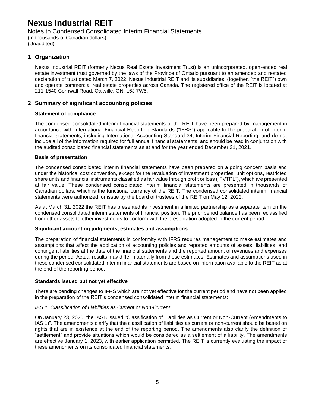Notes to Condensed Consolidated Interim Financial Statements (In thousands of Canadian dollars) (Unaudited)

## **1 Organization**

Nexus Industrial REIT (formerly Nexus Real Estate Investment Trust) is an unincorporated, open-ended real estate investment trust governed by the laws of the Province of Ontario pursuant to an amended and restated declaration of trust dated March 7, 2022. Nexus Industrial REIT and its subsidiaries, (together, "the REIT") own and operate commercial real estate properties across Canada. The registered office of the REIT is located at 211-1540 Cornwall Road, Oakville, ON, L6J 7W5.

## **2 Summary of significant accounting policies**

### **Statement of compliance**

The condensed consolidated interim financial statements of the REIT have been prepared by management in accordance with International Financial Reporting Standards ("IFRS") applicable to the preparation of interim financial statements, including International Accounting Standard 34, Interim Financial Reporting, and do not include all of the information required for full annual financial statements, and should be read in conjunction with the audited consolidated financial statements as at and for the year ended December 31, 2021.

### **Basis of presentation**

The condensed consolidated interim financial statements have been prepared on a going concern basis and under the historical cost convention, except for the revaluation of investment properties, unit options, restricted share units and financial instruments classified as fair value through profit or loss ("FVTPL"), which are presented at fair value. These condensed consolidated interim financial statements are presented in thousands of Canadian dollars, which is the functional currency of the REIT. The condensed consolidated interim financial statements were authorized for issue by the board of trustees of the REIT on May 12, 2022.

As at March 31, 2022 the REIT has presented its investment in a limited partnership as a separate item on the condensed consolidated interim statements of financial position. The prior period balance has been reclassified from other assets to other investments to conform with the presentation adopted in the current period.

#### **Significant accounting judgments, estimates and assumptions**

The preparation of financial statements in conformity with IFRS requires management to make estimates and assumptions that affect the application of accounting policies and reported amounts of assets, liabilities, and contingent liabilities at the date of the financial statements and the reported amount of revenues and expenses during the period. Actual results may differ materially from these estimates. Estimates and assumptions used in these condensed consolidated interim financial statements are based on information available to the REIT as at the end of the reporting period.

## **Standards issued but not yet effective**

There are pending changes to IFRS which are not yet effective for the current period and have not been applied in the preparation of the REIT's condensed consolidated interim financial statements:

#### *IAS 1, Classification of Liabilities as Current or Non-Current*

On January 23, 2020, the IASB issued "Classification of Liabilities as Current or Non-Current (Amendments to IAS 1)". The amendments clarify that the classification of liabilities as current or non-current should be based on rights that are in existence at the end of the reporting period. The amendments also clarify the definition of "settlement" and provide situations which would be considered as a settlement of a liability. The amendments are effective January 1, 2023, with earlier application permitted. The REIT is currently evaluating the impact of these amendments on its consolidated financial statements.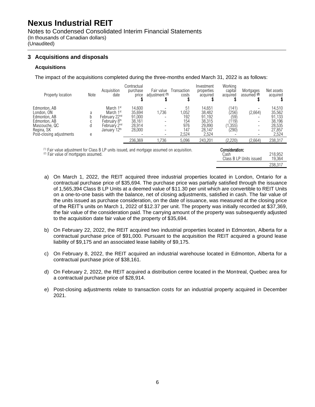Notes to Condensed Consolidated Interim Financial Statements (In thousands of Canadian dollars) (Unaudited)

**3 Acquisitions and disposals**

### **Acquisitions**

The impact of the acquisitions completed during the three-months ended March 31, 2022 is as follows:

| Property location                                                                                                                                                                                   | Note             | Acquisition<br>date                                                                                                                     | Contractual<br>purchase<br>price                         | Fair value<br>adjustment (1) | Transaction<br>costs                             | Investment<br>properties<br>acquired                              | Working<br>capital<br>acquired                                               | Mortgages<br>assumed <sup>(2)</sup>                                  | Net assets<br>acquired                                            |
|-----------------------------------------------------------------------------------------------------------------------------------------------------------------------------------------------------|------------------|-----------------------------------------------------------------------------------------------------------------------------------------|----------------------------------------------------------|------------------------------|--------------------------------------------------|-------------------------------------------------------------------|------------------------------------------------------------------------------|----------------------------------------------------------------------|-------------------------------------------------------------------|
| Edmonton, AB<br>London, ON<br>Edmonton, AB<br>Edmonton, AB<br>Mascouche, QC<br>Regina, SK<br>Post-closing adjustments                                                                               | a<br>U<br>d<br>е | March 1 <sup>st</sup><br>March 1 <sup>st</sup><br>February 22nd<br>February 8 <sup>th</sup><br>February 2nd<br>January 12 <sup>th</sup> | 14,600<br>35,694<br>91,000<br>38,161<br>28,914<br>28,000 | 1,736<br>-                   | 51<br>1,052<br>192<br>154<br>976<br>147<br>2,524 | 14,651<br>38,482<br>91,192<br>38,315<br>29,890<br>28,147<br>2,524 | $^{\prime}141)$<br>$\langle 256 \rangle$<br>(59)<br>'119)<br>(.355)<br>(290) | (2,664)<br>-<br>$\overline{\phantom{0}}$<br>$\overline{\phantom{0}}$ | 14,510<br>35,562<br>91,133<br>38,196<br>28,535<br>27,857<br>2,524 |
|                                                                                                                                                                                                     |                  |                                                                                                                                         | 236,369                                                  | 1.736                        | 5,096                                            | 243.201                                                           | (2,220)                                                                      | (2,664)                                                              | 238,317                                                           |
| Consideration:<br><sup>(1)</sup> Fair value adjustment for Class B LP units issued, and mortgage assumed on acquisition.<br>(2) Fair value of mortgages assumed.<br>Cash<br>Class B LP Units issued |                  |                                                                                                                                         |                                                          |                              |                                                  | 218,952<br>19,364                                                 |                                                                              |                                                                      |                                                                   |

238,317

- a) On March 1, 2022, the REIT acquired three industrial properties located in London, Ontario for a contractual purchase price of \$35,694. The purchase price was partially satisfied through the issuance of 1,565,394 Class B LP Units at a deemed value of \$11.30 per unit which are convertible to REIT Units on a one-to-one basis with the balance, net of closing adjustments, satisfied in cash. The fair value of the units issued as purchase consideration, on the date of issuance, was measured at the closing price of the REIT's units on March 1, 2022 of \$12.37 per unit. The property was initially recorded at \$37,369, the fair value of the consideration paid. The carrying amount of the property was subsequently adjusted to the acquisition date fair value of the property of \$35,694.
- b) On February 22, 2022, the REIT acquired two industrial properties located in Edmonton, Alberta for a contractual purchase price of \$91,000. Pursuant to the acquisition the REIT acquired a ground lease liability of \$9,175 and an associated lease liability of \$9,175.
- c) On February 8, 2022, the REIT acquired an industrial warehouse located in Edmonton, Alberta for a contractual purchase price of \$38,161.
- d) On February 2, 2022, the REIT acquired a distribution centre located in the Montreal, Quebec area for a contractual purchase price of \$28,914.
- e) Post-closing adjustments relate to transaction costs for an industrial property acquired in December 2021.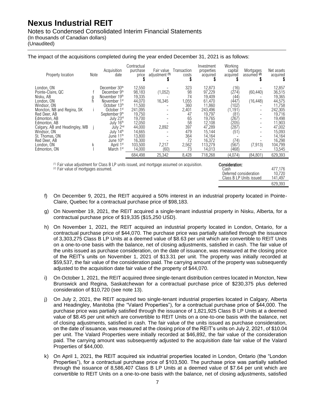## Notes to Condensed Consolidated Interim Financial Statements

(In thousands of Canadian dollars)

(Unaudited)

The impact of the acquisitions completed during the year ended December 31, 2021 is as follows:

| Property location                                                                                                                              | Note | Acquisition<br>date      | Contractual<br>purchase<br>price | Fair value<br>adjustment <sup>(1)</sup> | Transaction<br>costs | Investment<br>properties<br>acquired | Workina<br>capital<br>acquired | Mortgages<br>assumed <sup>(2)</sup> | Net assets<br>acquired |
|------------------------------------------------------------------------------------------------------------------------------------------------|------|--------------------------|----------------------------------|-----------------------------------------|----------------------|--------------------------------------|--------------------------------|-------------------------------------|------------------------|
| London, ON                                                                                                                                     |      | December 30th            | 12,550                           |                                         | 323                  | 12,873                               | (16)                           |                                     | 12,857                 |
| Pointe-Claire, QC                                                                                                                              |      | December 9th             | 98,183                           | (1,052)                                 | 98                   | 97,229                               | (274                           | (60, 440)                           | 36,515                 |
| Nisku, AB                                                                                                                                      |      | November 19th            | 19,335                           |                                         | 74                   | 19,409                               | (44                            |                                     | 19,365                 |
| London. ON                                                                                                                                     |      | November 1 <sup>st</sup> | 44.070                           | 16,345                                  | 1,055                | 61.470                               | '447                           | (16, 448)                           | 44,575                 |
| Windsor, ON                                                                                                                                    |      | October 13th             | 11,500                           |                                         | 360                  | 11,860                               | '102                           |                                     | 11,758                 |
| Moncton, NB and Regina, SK                                                                                                                     |      | October 1 <sup>st</sup>  | 241,095                          |                                         | 2,401                | 243,496                              | (1, 191)                       |                                     | 242,305                |
| Red Deer, AB                                                                                                                                   |      | September 9th            | 19,750                           |                                         | 47                   | 19,797                               | 181                            | $\overline{\phantom{a}}$            | 19,716                 |
| Edmonton, AB                                                                                                                                   |      | July 23rd                | 19,700                           |                                         | 65                   | 19.765                               | '267                           |                                     | 19,498                 |
| Edmonton, AB                                                                                                                                   |      | July 16th                | 12,050                           |                                         | 58                   | 12,108                               | 205)                           |                                     | 11,903                 |
| Calgary, AB and Headingley, MB                                                                                                                 |      | July 2nd                 | 44,000                           | 2,892                                   | 397                  | 47.289                               | $287^\circ$                    |                                     | 47,002                 |
| Windsor, ON                                                                                                                                    |      | July $14th$              | 14,665                           |                                         | 479                  | 15,144                               | (51)                           |                                     | 15,093                 |
| St. Thomas, ON                                                                                                                                 |      | June 11th                | 13,800                           |                                         | 364                  | 14,164                               |                                |                                     | 14,164                 |
| Red Deer, AB                                                                                                                                   |      | June 10th                | 16,300                           |                                         | 72                   | 16,372                               | (74)                           |                                     | 16,298                 |
| London, ON                                                                                                                                     | k    | April 1st                | 103,500                          | 7,217                                   | 2,562                | 113,279                              | (567                           | (7, 913)                            | 104,799                |
| Edmonton, ON                                                                                                                                   |      | March 1 <sup>st</sup>    | 14,000                           | (60)                                    | 73                   | 14,013                               | (468)                          |                                     | 13,545                 |
|                                                                                                                                                |      |                          | 684.498                          | 25,342                                  | 8,428                | 718,268                              | (4,074)                        | (84, 801)                           | 629,393                |
| <sup>(1)</sup> Fair value adjustment for Class B LP units issued, and mortgage assumed on acquisition.<br>(2) Fair value of mortgages assumed. |      |                          |                                  |                                         |                      |                                      | Consideration:<br>Cash         |                                     | 477,176                |

(2) Fair value of mortgages assumed. The cash are cash as the cash of the cash and the cash and the cash and the cash and the cash and the cash and the cash and the cash and the cash of the cash of the cash of the cash of Deferred consideration 10,720<br>Class B LP Units issued 141,497 Class B LP Units issued 629,393

- f) On December 9, 2021, the REIT acquired a 50% interest in an industrial property located in Pointe-Claire, Quebec for a contractual purchase price of \$98,183.
- g) On November 19, 2021, the REIT acquired a single-tenant industrial property in Nisku, Alberta, for a contractual purchase price of \$19,335 (\$15,250 USD).
- h) On November 1, 2021, the REIT acquired an industrial property located in London, Ontario, for a contractual purchase price of \$44,070. The purchase price was partially satisfied through the issuance of 3,303,275 Class B LP Units at a deemed value of \$8.63 per unit which are convertible to REIT Units on a one-to-one basis with the balance, net of closing adjustments, satisfied in cash. The fair value of the units issued as purchase consideration, on the date of issuance, was measured at the closing price of the REIT's units on November 1, 2021 of \$13.31 per unit. The property was initially recorded at \$59,537, the fair value of the consideration paid. The carrying amount of the property was subsequently adjusted to the acquisition date fair value of the property of \$44,070.
- i) On October 1, 2021, the REIT acquired three single-tenant distribution centres located in Moncton, New Brunswick and Regina, Saskatchewan for a contractual purchase price of \$230,375 plus deferred consideration of \$10,720 (see note 13).
- j) On July 2, 2021, the REIT acquired two single-tenant industrial properties located in Calgary, Alberta and Headingley, Manitoba (the "Valard Properties"), for a contractual purchase price of \$44,000. The purchase price was partially satisfied through the issuance of 1,821,925 Class B LP Units at a deemed value of \$8.45 per unit which are convertible to REIT Units on a one-to-one basis with the balance, net of closing adjustments, satisfied in cash. The fair value of the units issued as purchase consideration, on the date of issuance, was measured at the closing price of the REIT's units on July 2, 2021, of \$10.04 per unit. The Valard Properties were initially recorded at \$46,892, the fair value of the consideration paid. The carrying amount was subsequently adjusted to the acquisition date fair value of the Valard Properties of \$44,000.
- k) On April 1, 2021, the REIT acquired six industrial properties located in London, Ontario (the "London Properties"), for a contractual purchase price of \$103,500. The purchase price was partially satisfied through the issuance of 8,586,407 Class B LP Units at a deemed value of \$7.64 per unit which are convertible to REIT Units on a one-to-one basis with the balance, net of closing adjustments, satisfied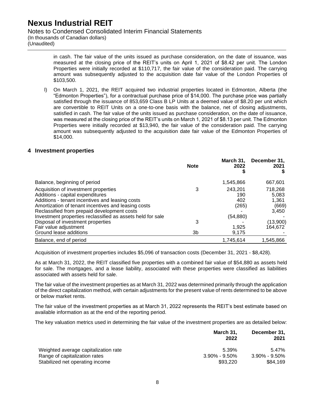Notes to Condensed Consolidated Interim Financial Statements

(In thousands of Canadian dollars) (Unaudited)

> in cash. The fair value of the units issued as purchase consideration, on the date of issuance, was measured at the closing price of the REIT's units on April 1, 2021 of \$8.42 per unit. The London Properties were initially recorded at \$110,717, the fair value of the consideration paid. The carrying amount was subsequently adjusted to the acquisition date fair value of the London Properties of \$103,500.

l) On March 1, 2021, the REIT acquired two industrial properties located in Edmonton, Alberta (the "Edmonton Properties"), for a contractual purchase price of \$14,000. The purchase price was partially satisfied through the issuance of 853,659 Class B LP Units at a deemed value of \$8.20 per unit which are convertible to REIT Units on a one-to-one basis with the balance, net of closing adjustments, satisfied in cash. The fair value of the units issued as purchase consideration, on the date of issuance, was measured at the closing price of the REIT's units on March 1, 2021 of \$8.13 per unit. The Edmonton Properties were initially recorded at \$13,940, the fair value of the consideration paid. The carrying amount was subsequently adjusted to the acquisition date fair value of the Edmonton Properties of \$14,000.

## **4 Investment properties**

|                                                                                                    | <b>Note</b> | March 31,<br>2022 | December 31,<br>2021 |
|----------------------------------------------------------------------------------------------------|-------------|-------------------|----------------------|
| Balance, beginning of period                                                                       |             | 1,545,866         | 667,601              |
| Acquisition of investment properties<br>Additions - capital expenditures                           | 3           | 243.201<br>190    | 718,268<br>5,083     |
| Additions - tenant incentives and leasing costs                                                    |             | 402               | 1,361                |
| Amortization of tenant incentives and leasing costs<br>Reclassified from prepaid development costs |             | (265)             | (669)<br>3,450       |
| Investment properties reclassified as assets held for sale                                         |             | (54,880)          |                      |
| Disposal of investment properties                                                                  | 3           |                   | (13,900)             |
| Fair value adjustment                                                                              |             | 1,925             | 164.672              |
| Ground lease additions                                                                             | 3b          | 9,175             |                      |
| Balance, end of period                                                                             |             | 1.745.614         | 1.545.866            |

Acquisition of investment properties includes \$5,096 of transaction costs (December 31, 2021 - \$8,428).

As at March 31, 2022, the REIT classified five properties with a combined fair value of \$54,880 as assets held for sale. The mortgages, and a lease liability, associated with these properties were classified as liabilities associated with assets held for sale.

The fair value of the investment properties as at March 31, 2022 was determined primarily through the application of the direct capitalization method, with certain adjustments for the present value of rents determined to be above or below market rents.

The fair value of the investment properties as at March 31, 2022 represents the REIT's best estimate based on available information as at the end of the reporting period.

The key valuation metrics used in determining the fair value of the investment properties are as detailed below:

|                                      | March 31,<br>2022   | December 31,<br>2021 |
|--------------------------------------|---------------------|----------------------|
| Weighted average capitalization rate | 5.39%               | 5.47%                |
| Range of capitalization rates        | $3.90\%$ - $9.50\%$ | $3.90\%$ - 9.50%     |
| Stabilized net operating income      | \$93,220            | \$84.169             |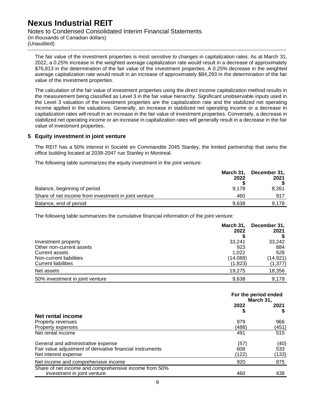Notes to Condensed Consolidated Interim Financial Statements

(In thousands of Canadian dollars) (Unaudited)

The fair value of the investment properties is most sensitive to changes in capitalization rates. As at March 31, 2022, a 0.25% increase in the weighted average capitalization rate would result in a decrease of approximately \$76,813 in the determination of the fair value of the investment properties. A 0.25% decrease in the weighted average capitalization rate would result in an increase of approximately \$84,293 in the determination of the fair value of the investment properties.

The calculation of the fair value of investment properties using the direct income capitalization method results in the measurement being classified as Level 3 in the fair value hierarchy. Significant unobservable inputs used in the Level 3 valuation of the investment properties are the capitalization rate and the stabilized net operating income applied in the valuations. Generally, an increase in stabilized net operating income or a decrease in capitalization rates will result in an increase in the fair value of investment properties. Conversely, a decrease in stabilized net operating income or an increase in capitalization rates will generally result in a decrease in the fair value of investment properties.

## **5 Equity investment in joint venture**

The REIT has a 50% interest in Société en Commandite 2045 Stanley, the limited partnership that owns the office building located at 2039-2047 rue Stanley in Montreal.

The following table summarizes the equity investment in the joint venture:

|                                                      | March 31,<br>2022 | December 31,<br>2021 |
|------------------------------------------------------|-------------------|----------------------|
| Balance, beginning of period                         | 9.178             | 8.261                |
| Share of net income from investment in joint venture | 460               | 917                  |
| Balance, end of period                               | 9.638             | 9.178                |

The following table summarizes the cumulative financial information of the joint venture:

|                                 | March 31.<br>2022 | December 31,<br>2021 |
|---------------------------------|-------------------|----------------------|
|                                 |                   |                      |
| Investment property             | 33,241            | 33,242               |
| Other non-current assets        | 923               | 884                  |
| <b>Current assets</b>           | 1.022             | 528                  |
| Non-current liabilities         | (14,088)          | (14, 921)            |
| <b>Current liabilities</b>      | (1,823)           | (1, 377)             |
| Net assets                      | 19,275            | 18,356               |
| 50% investment in joint venture | 9,638             | 9,178                |

|                                                           | For the period ended<br>March 31, |       |  |
|-----------------------------------------------------------|-----------------------------------|-------|--|
|                                                           | 2022                              | 2021  |  |
| Net rental income                                         |                                   |       |  |
| Property revenues                                         | 979                               | 966   |  |
| Property expenses                                         | (488)                             | (451) |  |
| Net rental income                                         | 491                               | 515   |  |
| General and administrative expense                        | (57)                              | (40)  |  |
| Fair value adjustment of derivative financial instruments | 608                               | 533   |  |
| Net interest expense                                      | (122)                             | (133) |  |
| Net income and comprehensive income                       | 920                               | 875   |  |
| Share of net income and comprehensive income from 50%     |                                   |       |  |
| investment in joint venture                               | 460                               | 438   |  |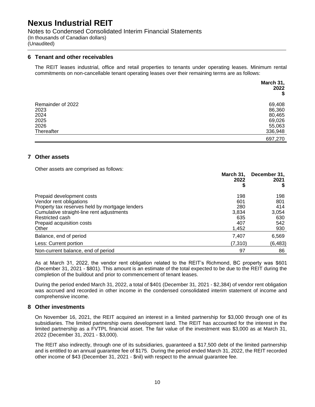Notes to Condensed Consolidated Interim Financial Statements (In thousands of Canadian dollars) (Unaudited)

### **6 Tenant and other receivables**

The REIT leases industrial, office and retail properties to tenants under operating leases. Minimum rental commitments on non-cancellable tenant operating leases over their remaining terms are as follows:

|                   | March 31,<br>2022<br>\$ |
|-------------------|-------------------------|
| Remainder of 2022 | 69,408                  |
| 2023              | 86,360                  |
| 2024              | 80,465                  |
| 2025              | 69,026                  |
| 2026              | 55,063                  |
| Thereafter        | 336,948                 |
|                   | 697,270                 |

### **7 Other assets**

Other assets are comprised as follows:

|                                                | March 31,<br>2022<br>\$ | December 31,<br>2021 |
|------------------------------------------------|-------------------------|----------------------|
| Prepaid development costs                      | 198                     | 198                  |
| Vendor rent obligations                        | 601                     | 801                  |
| Property tax reserves held by mortgage lenders | 280                     | 414                  |
| Cumulative straight-line rent adjustments      | 3,834                   | 3,054                |
| Restricted cash                                | 635                     | 630                  |
| Prepaid acquisition costs                      | 407                     | 542                  |
| Other                                          | 1,452                   | 930                  |
| Balance, end of period                         | 7,407                   | 6,569                |
| Less: Current portion                          | (7, 310)                | (6, 483)             |
| Non-current balance, end of period             | 97                      | 86                   |

As at March 31, 2022, the vendor rent obligation related to the REIT's Richmond, BC property was \$601 (December 31, 2021 - \$801). This amount is an estimate of the total expected to be due to the REIT during the completion of the buildout and prior to commencement of tenant leases.

During the period ended March 31, 2022, a total of \$401 (December 31, 2021 - \$2,384) of vendor rent obligation was accrued and recorded in other income in the condensed consolidated interim statement of income and comprehensive income.

## **8 Other investments**

On November 16, 2021, the REIT acquired an interest in a limited partnership for \$3,000 through one of its subsidiaries. The limited partnership owns development land. The REIT has accounted for the interest in the limited partnership as a FVTPL financial asset. The fair value of the investment was \$3,000 as at March 31, 2022 (December 31, 2021 - \$3,000).

The REIT also indirectly, through one of its subsidiaries, guaranteed a \$17,500 debt of the limited partnership and is entitled to an annual guarantee fee of \$175. During the period ended March 31, 2022, the REIT recorded other income of \$43 (December 31, 2021 - \$nil) with respect to the annual guarantee fee.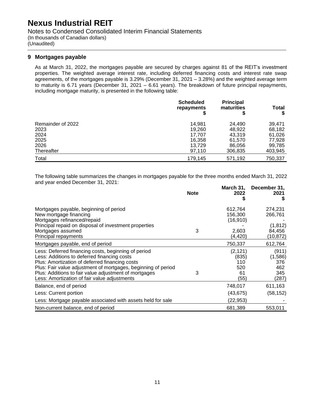Notes to Condensed Consolidated Interim Financial Statements (In thousands of Canadian dollars) (Unaudited)

### **9 Mortgages payable**

As at March 31, 2022, the mortgages payable are secured by charges against 81 of the REIT's investment properties. The weighted average interest rate, including deferred financing costs and interest rate swap agreements, of the mortgages payable is 3.29% (December 31, 2021 – 3.28%) and the weighted average term to maturity is 6.71 years (December 31, 2021 – 6.61 years). The breakdown of future principal repayments, including mortgage maturity, is presented in the following table:

|                   | <b>Scheduled</b><br>repayments | <b>Principal</b><br>maturities | Total<br>\$ |
|-------------------|--------------------------------|--------------------------------|-------------|
| Remainder of 2022 | 14,981                         | 24.490                         | 39,471      |
| 2023              | 19,260                         | 48,922                         | 68,182      |
| 2024              | 17.707                         | 43.319                         | 61,026      |
| 2025              | 16,358                         | 61,570                         | 77,928      |
| 2026              | 13.729                         | 86,056                         | 99,785      |
| Thereafter        | 97,110                         | 306,835                        | 403,945     |
| Total             | 179,145                        | 571,192                        | 750,337     |

The following table summarizes the changes in mortgages payable for the three months ended March 31, 2022 and year ended December 31, 2021:

|                                                                                                                                                                                                                                                                                                                                | <b>Note</b> | March 31,<br>2022                                   | December 31,<br>2021<br>S                            |
|--------------------------------------------------------------------------------------------------------------------------------------------------------------------------------------------------------------------------------------------------------------------------------------------------------------------------------|-------------|-----------------------------------------------------|------------------------------------------------------|
| Mortgages payable, beginning of period<br>New mortgage financing<br>Mortgages refinanced/repaid<br>Principal repaid on disposal of investment properties<br>Mortgages assumed<br>Principal repayments                                                                                                                          | 3           | 612,764<br>156,300<br>(16, 910)<br>2.603<br>(4,420) | 274,231<br>266,761<br>(1, 812)<br>84,456<br>(10,872) |
| Mortgages payable, end of period                                                                                                                                                                                                                                                                                               |             | 750,337                                             | 612,764                                              |
| Less: Deferred financing costs, beginning of period<br>Less: Additions to deferred financing costs<br>Plus: Amortization of deferred financing costs<br>Plus: Fair value adjustment of mortgages, beginning of period<br>Plus: Additions to fair value adjustment of mortgages<br>Less: Amortization of fair value adjustments | 3           | (2, 121)<br>(835)<br>110<br>520<br>61<br>(55)       | (911)<br>(1,586)<br>376<br>462<br>345<br>(287)       |
| Balance, end of period                                                                                                                                                                                                                                                                                                         |             | 748,017                                             | 611,163                                              |
| Less: Current portion                                                                                                                                                                                                                                                                                                          |             | (43, 675)                                           | (58, 152)                                            |
| Less: Mortgage payable associated with assets held for sale                                                                                                                                                                                                                                                                    |             | (22,953)                                            |                                                      |
| Non-current balance, end of period                                                                                                                                                                                                                                                                                             |             | 681,389                                             | 553,011                                              |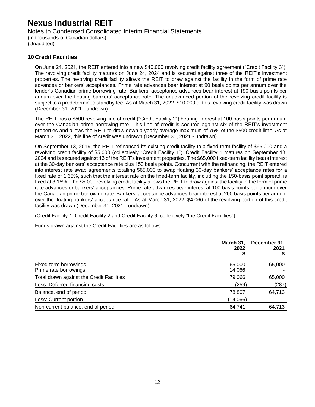Notes to Condensed Consolidated Interim Financial Statements (In thousands of Canadian dollars) (Unaudited)

### **10 Credit Facilities**

On June 24, 2021, the REIT entered into a new \$40,000 revolving credit facility agreement ("Credit Facility 3"). The revolving credit facility matures on June 24, 2024 and is secured against three of the REIT's investment properties. The revolving credit facility allows the REIT to draw against the facility in the form of prime rate advances or bankers' acceptances. Prime rate advances bear interest at 90 basis points per annum over the lender's Canadian prime borrowing rate. Bankers' acceptance advances bear interest at 190 basis points per annum over the floating bankers' acceptance rate. The unadvanced portion of the revolving credit facility is subject to a predetermined standby fee. As at March 31, 2022, \$10,000 of this revolving credit facility was drawn (December 31, 2021 - undrawn).

The REIT has a \$500 revolving line of credit ("Credit Facility 2") bearing interest at 100 basis points per annum over the Canadian prime borrowing rate. This line of credit is secured against six of the REIT's investment properties and allows the REIT to draw down a yearly average maximum of 75% of the \$500 credit limit. As at March 31, 2022, this line of credit was undrawn (December 31, 2021 - undrawn).

On September 13, 2019, the REIT refinanced its existing credit facility to a fixed-term facility of \$65,000 and a revolving credit facility of \$5,000 (collectively "Credit Facility 1"). Credit Facility 1 matures on September 13, 2024 and is secured against 13 of the REIT's investment properties. The \$65,000 fixed-term facility bears interest at the 30-day bankers' acceptance rate plus 150 basis points. Concurrent with the refinancing, the REIT entered into interest rate swap agreements totalling \$65,000 to swap floating 30-day bankers' acceptance rates for a fixed rate of 1.65%, such that the interest rate on the fixed-term facility, including the 150-basis point spread, is fixed at 3.15%. The \$5,000 revolving credit facility allows the REIT to draw against the facility in the form of prime rate advances or bankers' acceptances. Prime rate advances bear interest at 100 basis points per annum over the Canadian prime borrowing rate. Bankers' acceptance advances bear interest at 200 basis points per annum over the floating bankers' acceptance rate. As at March 31, 2022, \$4,066 of the revolving portion of this credit facility was drawn (December 31, 2021 - undrawn).

(Credit Facility 1, Credit Facility 2 and Credit Facility 3, collectively "the Credit Facilities")

Funds drawn against the Credit Facilities are as follows:

|                                                | March 31,<br>2022<br>\$ | December 31,<br>2021 |
|------------------------------------------------|-------------------------|----------------------|
| Fixed-term borrowings<br>Prime rate borrowings | 65,000<br>14,066        | 65,000               |
| Total drawn against the Credit Facilities      | 79,066                  | 65,000               |
| Less: Deferred financing costs                 | (259)                   | (287)                |
| Balance, end of period                         | 78,807                  | 64,713               |
| Less: Current portion                          | (14,066)                |                      |
| Non-current balance, end of period             | 64,741                  | 64,713               |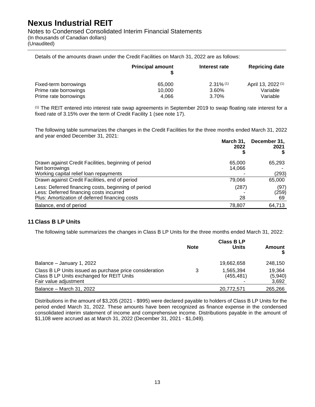Notes to Condensed Consolidated Interim Financial Statements (In thousands of Canadian dollars)

(Unaudited)

Details of the amounts drawn under the Credit Facilities on March 31, 2022 are as follows:

|                       | <b>Principal amount</b> | Interest rate           | <b>Repricing date</b>         |
|-----------------------|-------------------------|-------------------------|-------------------------------|
| Fixed-term borrowings | 65.000                  | $2.31\%$ <sup>(1)</sup> | April 13, 2022 <sup>(1)</sup> |
| Prime rate borrowings | 10.000                  | 3.60%                   | Variable                      |
| Prime rate borrowings | 4.066                   | 3.70%                   | Variable                      |

(1) The REIT entered into interest rate swap agreements in September 2019 to swap floating rate interest for a fixed rate of 3.15% over the term of Credit Facility 1 (see note 17).

The following table summarizes the changes in the Credit Facilities for the three months ended March 31, 2022 and year ended December 31, 2021:

|                                                                                                                                                  | March 31,<br>2022 | December 31,<br>2021 |
|--------------------------------------------------------------------------------------------------------------------------------------------------|-------------------|----------------------|
| Drawn against Credit Facilities, beginning of period<br>Net borrowings                                                                           | 65,000<br>14,066  | 65,293               |
| Working capital relief loan repayments                                                                                                           |                   | (293)                |
| Drawn against Credit Facilities, end of period                                                                                                   | 79,066            | 65,000               |
| Less: Deferred financing costs, beginning of period<br>Less: Deferred financing costs incurred<br>Plus: Amortization of deferred financing costs | (287)<br>28       | (97)<br>(259)<br>69  |
| Balance, end of period                                                                                                                           | 78,807            | 64,713               |

## **11 Class B LP Units**

The following table summarizes the changes in Class B LP Units for the three months ended March 31, 2022:

|                                                                                                                               | <b>Class B LP</b> |                        |                            |
|-------------------------------------------------------------------------------------------------------------------------------|-------------------|------------------------|----------------------------|
|                                                                                                                               | <b>Note</b>       | <b>Units</b>           | Amount                     |
| Balance - January 1, 2022                                                                                                     |                   | 19,662,658             | 248,150                    |
| Class B LP Units issued as purchase price consideration<br>Class B LP Units exchanged for REIT Units<br>Fair value adjustment | 3                 | 1.565.394<br>(455.481) | 19.364<br>(5,940)<br>3,692 |
| Balance - March 31, 2022                                                                                                      |                   | 20,772,571             | 265,266                    |

Distributions in the amount of \$3,205 (2021 - \$995) were declared payable to holders of Class B LP Units for the period ended March 31, 2022. These amounts have been recognized as finance expense in the condensed consolidated interim statement of income and comprehensive income. Distributions payable in the amount of \$1,108 were accrued as at March 31, 2022 (December 31, 2021 - \$1,049).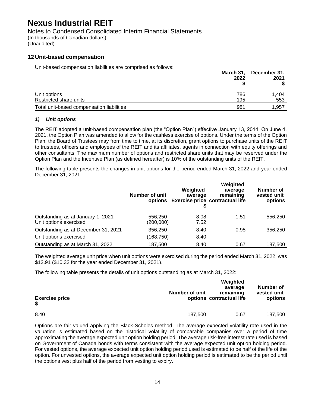Notes to Condensed Consolidated Interim Financial Statements (In thousands of Canadian dollars) (Unaudited)

### **12 Unit-based compensation**

Unit-based compensation liabilities are comprised as follows:

|                                           | March 31,<br>2022 | December 31,<br>2021 |
|-------------------------------------------|-------------------|----------------------|
| Unit options                              | 786               | 1,404                |
| Restricted share units                    | 195               | 553                  |
| Total unit-based compensation liabilities | 981               | 1,957                |

### *1) Unit options*

The REIT adopted a unit-based compensation plan (the "Option Plan") effective January 13, 2014. On June 4, 2021, the Option Plan was amended to allow for the cashless exercise of options. Under the terms of the Option Plan, the Board of Trustees may from time to time, at its discretion, grant options to purchase units of the REIT to trustees, officers and employees of the REIT and its affiliates, agents in connection with equity offerings and other consultants. The maximum number of options and restricted share units that may be reserved under the Option Plan and the Incentive Plan (as defined hereafter) is 10% of the outstanding units of the REIT.

The following table presents the changes in unit options for the period ended March 31, 2022 and year ended December 31, 2021:

|                                                             | Number of unit<br>options | Weighted<br>average | Weighted<br>average<br>remaining<br><b>Exercise price contractual life</b> | Number of<br>vested unit<br>options |
|-------------------------------------------------------------|---------------------------|---------------------|----------------------------------------------------------------------------|-------------------------------------|
| Outstanding as at January 1, 2021<br>Unit options exercised | 556,250<br>(200,000)      | 8.08<br>7.52        | 1.51                                                                       | 556.250                             |
| Outstanding as at December 31, 2021                         | 356,250                   | 8.40                | 0.95                                                                       | 356,250                             |
| Unit options exercised                                      | (168,750)                 | 8.40                |                                                                            |                                     |
| Outstanding as at March 31, 2022                            | 187,500                   | 8.40                | 0.67                                                                       | 187,500                             |

The weighted average unit price when unit options were exercised during the period ended March 31, 2022, was \$12.91 (\$10.32 for the year ended December 31, 2021).

The following table presents the details of unit options outstanding as at March 31, 2022:

| <b>Exercise price</b><br>\$ | <b>Number of unit</b> | Weighted<br>average<br>remaining<br>options contractual life | Number of<br>vested unit<br>options |
|-----------------------------|-----------------------|--------------------------------------------------------------|-------------------------------------|
| 8.40                        | 187,500               | 0.67                                                         | 187,500                             |

Options are fair valued applying the Black-Scholes method. The average expected volatility rate used in the valuation is estimated based on the historical volatility of comparable companies over a period of time approximating the average expected unit option holding period. The average risk-free interest rate used is based on Government of Canada bonds with terms consistent with the average expected unit option holding period. For vested options, the average expected unit option holding period used is estimated to be half of the life of the option. For unvested options, the average expected unit option holding period is estimated to be the period until the options vest plus half of the period from vesting to expiry.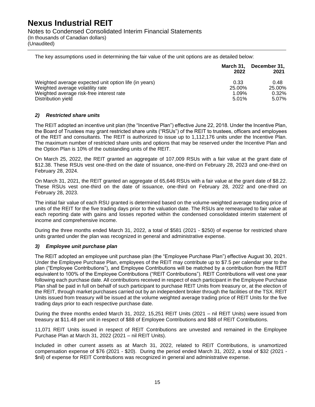## Notes to Condensed Consolidated Interim Financial Statements

(In thousands of Canadian dollars)

(Unaudited)

The key assumptions used in determining the fair value of the unit options are as detailed below:

|                                                       | March 31.<br>2022 | December 31.<br>2021 |
|-------------------------------------------------------|-------------------|----------------------|
| Weighted average expected unit option life (in years) | 0.33              | 0.48                 |
| Weighted average volatility rate                      | 25.00%            | 25.00%               |
| Weighted average risk-free interest rate              | $1.09\%$          | 0.32%                |
| Distribution yield                                    | 5.01%             | 5.07%                |

## *2) Restricted share units*

The REIT adopted an incentive unit plan (the "Incentive Plan") effective June 22, 2018. Under the Incentive Plan, the Board of Trustees may grant restricted share units ("RSUs") of the REIT to trustees, officers and employees of the REIT and consultants. The REIT is authorized to issue up to 1,112,176 units under the Incentive Plan. The maximum number of restricted share units and options that may be reserved under the Incentive Plan and the Option Plan is 10% of the outstanding units of the REIT.

On March 25, 2022, the REIT granted an aggregate of 107,009 RSUs with a fair value at the grant date of \$12.38. These RSUs vest one-third on the date of issuance, one-third on February 28, 2023 and one-third on February 28, 2024.

On March 31, 2021, the REIT granted an aggregate of 65,646 RSUs with a fair value at the grant date of \$8.22. These RSUs vest one-third on the date of issuance, one-third on February 28, 2022 and one-third on February 28, 2023.

The initial fair value of each RSU granted is determined based on the volume-weighted average trading price of units of the REIT for the five trading days prior to the valuation date. The RSUs are remeasured to fair value at each reporting date with gains and losses reported within the condensed consolidated interim statement of income and comprehensive income.

During the three months ended March 31, 2022, a total of \$581 (2021 - \$250) of expense for restricted share units granted under the plan was recognized in general and administrative expense.

## *3) Employee unit purchase plan*

The REIT adopted an employee unit purchase plan (the "Employee Purchase Plan") effective August 30, 2021. Under the Employee Purchase Plan, employees of the REIT may contribute up to \$7.5 per calendar year to the plan ("Employee Contributions"), and Employee Contributions will be matched by a contribution from the REIT equivalent to 100% of the Employee Contributions ("REIT Contributions"). REIT Contributions will vest one year following each purchase date. All contributions received in respect of each participant in the Employee Purchase Plan shall be paid in full on behalf of such participant to purchase REIT Units from treasury or, at the election of the REIT, through market purchases carried out by an independent broker through the facilities of the TSX. REIT Units issued from treasury will be issued at the volume weighted average trading price of REIT Units for the five trading days prior to each respective purchase date.

During the three months ended March 31, 2022, 15,251 REIT Units (2021 – nil REIT Units) were issued from treasury at \$11.48 per unit in respect of \$88 of Employee Contributions and \$88 of REIT Contributions.

11,071 REIT Units issued in respect of REIT Contributions are unvested and remained in the Employee Purchase Plan at March 31, 2022 (2021 – nil REIT Units).

Included in other current assets as at March 31, 2022, related to REIT Contributions, is unamortized compensation expense of \$76 (2021 - \$20). During the period ended March 31, 2022, a total of \$32 (2021 - \$nil) of expense for REIT Contributions was recognized in general and administrative expense.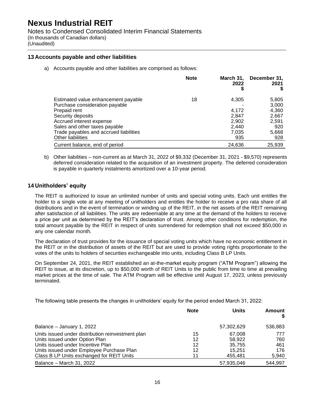Notes to Condensed Consolidated Interim Financial Statements (In thousands of Canadian dollars) (Unaudited)

## **13 Accounts payable and other liabilities**

a) Accounts payable and other liabilities are comprised as follows:

|                                                                                                                                                                                                                                               | <b>Note</b> | March 31,<br>2022<br>\$                                   | December 31,<br>2021                                             |
|-----------------------------------------------------------------------------------------------------------------------------------------------------------------------------------------------------------------------------------------------|-------------|-----------------------------------------------------------|------------------------------------------------------------------|
| Estimated value enhancement payable<br>Purchase consideration payable<br>Prepaid rent<br>Security deposits<br>Accrued interest expense<br>Sales and other taxes payable<br>Trade payables and accrued liabilities<br><b>Other liabilities</b> | 18          | 4,305<br>4.172<br>2,847<br>2,902<br>2.440<br>7,035<br>935 | 5,805<br>3,000<br>4,360<br>2,667<br>2,591<br>920<br>5,668<br>928 |
| Current balance, end of period                                                                                                                                                                                                                |             | 24,636                                                    | 25,939                                                           |

b) Other liabilities – non-current as at March 31, 2022 of \$9,332 (December 31, 2021 - \$9,570) represents deferred consideration related to the acquisition of an investment property. The deferred consideration is payable in quarterly instalments amortized over a 10-year period.

### **14 Unitholders' equity**

The REIT is authorized to issue an unlimited number of units and special voting units. Each unit entitles the holder to a single vote at any meeting of unitholders and entitles the holder to receive a pro rata share of all distributions and in the event of termination or winding up of the REIT, in the net assets of the REIT remaining after satisfaction of all liabilities. The units are redeemable at any time at the demand of the holders to receive a price per unit as determined by the REIT's declaration of trust. Among other conditions for redemption, the total amount payable by the REIT in respect of units surrendered for redemption shall not exceed \$50,000 in any one calendar month.

The declaration of trust provides for the issuance of special voting units which have no economic entitlement in the REIT or in the distribution of assets of the REIT but are used to provide voting rights proportionate to the votes of the units to holders of securities exchangeable into units, including Class B LP Units.

On September 24, 2021, the REIT established an at-the-market equity program ("ATM Program") allowing the REIT to issue, at its discretion, up to \$50,000 worth of REIT Units to the public from time to time at prevailing market prices at the time of sale. The ATM Program will be effective until August 17, 2023, unless previously terminated.

The following table presents the changes in unitholders' equity for the period ended March 31, 2022:

|                                                   | <b>Note</b> | <b>Units</b> | Amount  |
|---------------------------------------------------|-------------|--------------|---------|
| Balance - January 1, 2022                         |             | 57,302,629   | 536,883 |
| Units issued under distribution reinvestment plan | 15          | 67.008       | 777     |
| Units issued under Option Plan                    | 12          | 58.922       | 760     |
| Units issued under Incentive Plan                 | 12          | 35.755       | 461     |
| Units issued under Employee Purchase Plan         | 12          | 15.251       | 176     |
| Class B LP Units exchanged for REIT Units         | 11          | 455.481      | 5,940   |
| Balance - March 31, 2022                          |             | 57,935,046   | 544,997 |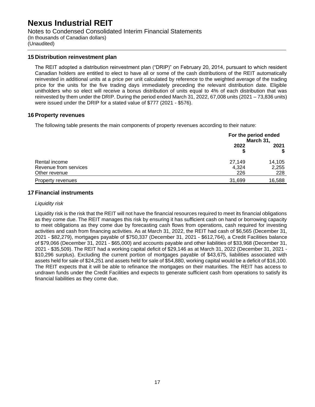Notes to Condensed Consolidated Interim Financial Statements (In thousands of Canadian dollars)

(Unaudited)

#### **15 Distribution reinvestment plan**

The REIT adopted a distribution reinvestment plan ("DRIP)" on February 20, 2014, pursuant to which resident Canadian holders are entitled to elect to have all or some of the cash distributions of the REIT automatically reinvested in additional units at a price per unit calculated by reference to the weighted average of the trading price for the units for the five trading days immediately preceding the relevant distribution date. Eligible unitholders who so elect will receive a bonus distribution of units equal to 4% of each distribution that was reinvested by them under the DRIP. During the period ended March 31, 2022, 67,008 units (2021 – 73,836 units) were issued under the DRIP for a stated value of \$777 (2021 - \$576).

### **16 Property revenues**

The following table presents the main components of property revenues according to their nature:

|                                                         |                        | For the period ended<br>March 31, |  |  |
|---------------------------------------------------------|------------------------|-----------------------------------|--|--|
|                                                         | 2022                   | 2021<br>S                         |  |  |
| Rental income<br>Revenue from services<br>Other revenue | 27,149<br>4,324<br>226 | 14,105<br>2,255<br>228            |  |  |
| Property revenues                                       | 31,699                 | 16,588                            |  |  |

## **17 Financial instruments**

### *Liquidity risk*

Liquidity risk is the risk that the REIT will not have the financial resources required to meet its financial obligations as they come due. The REIT manages this risk by ensuring it has sufficient cash on hand or borrowing capacity to meet obligations as they come due by forecasting cash flows from operations, cash required for investing activities and cash from financing activities. As at March 31, 2022, the REIT had cash of \$6,565 (December 31, 2021 - \$82,279), mortgages payable of \$750,337 (December 31, 2021 - \$612,764), a Credit Facilities balance of \$79,066 (December 31, 2021 - \$65,000) and accounts payable and other liabilities of \$33,968 (December 31, 2021 - \$35,509). The REIT had a working capital deficit of \$29,146 as at March 31, 2022 (December 31, 2021 - \$10,296 surplus). Excluding the current portion of mortgages payable of \$43,675, liabilities associated with assets held for sale of \$24,251 and assets held for sale of \$54,880, working capital would be a deficit of \$16,100. The REIT expects that it will be able to refinance the mortgages on their maturities. The REIT has access to undrawn funds under the Credit Facilities and expects to generate sufficient cash from operations to satisfy its financial liabilities as they come due.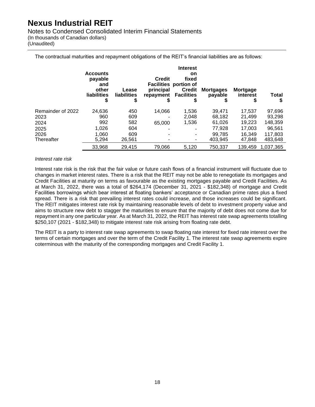Notes to Condensed Consolidated Interim Financial Statements

(In thousands of Canadian dollars)

(Unaudited)

The contractual maturities and repayment obligations of the REIT's financial liabilities are as follows:

|                           | <b>Accounts</b><br>payable<br>and<br>other<br><b>liabilities</b><br>\$ | Lease<br>liabilities<br>\$ | <b>Credit</b><br>principal<br>repayment<br>\$ | <b>Interest</b><br>on<br>fixed<br><b>Facilities portion of</b><br><b>Credit</b><br><b>Facilities</b><br>\$ | <b>Mortgages</b><br>payable | <b>Mortgage</b><br>interest<br>\$ | Total<br>S       |
|---------------------------|------------------------------------------------------------------------|----------------------------|-----------------------------------------------|------------------------------------------------------------------------------------------------------------|-----------------------------|-----------------------------------|------------------|
| Remainder of 2022<br>2023 | 24,636<br>960                                                          | 450<br>609                 | 14,066                                        | 1,536<br>2.048                                                                                             | 39.471<br>68,182            | 17.537<br>21,499                  | 97,696<br>93,298 |
| 2024                      | 992                                                                    | 582                        | 65,000                                        | 1,536                                                                                                      | 61.026                      | 19.223                            | 148,359          |
| 2025                      | 1,026                                                                  | 604                        |                                               |                                                                                                            | 77.928                      | 17.003                            | 96,561           |
| 2026                      | 1.060                                                                  | 609                        | -                                             | ۰.                                                                                                         | 99.785                      | 16.349                            | 117.803          |
| Thereafter                | 5.294                                                                  | 26.561                     | ۰                                             | ۰.                                                                                                         | 403.945                     | 47.848                            | 483,648          |
|                           | 33,968                                                                 | 29,415                     | 79,066                                        | 5,120                                                                                                      | 750,337                     | 139.459                           | 1.037.365        |

#### *Interest rate risk*

Interest rate risk is the risk that the fair value or future cash flows of a financial instrument will fluctuate due to changes in market interest rates. There is a risk that the REIT may not be able to renegotiate its mortgages and Credit Facilities at maturity on terms as favourable as the existing mortgages payable and Credit Facilities. As at March 31, 2022, there was a total of \$264,174 (December 31, 2021 - \$182,348) of mortgage and Credit Facilities borrowings which bear interest at floating bankers' acceptance or Canadian prime rates plus a fixed spread. There is a risk that prevailing interest rates could increase, and those increases could be significant. The REIT mitigates interest rate risk by maintaining reasonable levels of debt to investment property value and aims to structure new debt to stagger the maturities to ensure that the majority of debt does not come due for repayment in any one particular year. As at March 31, 2022, the REIT has interest rate swap agreements totalling \$250,107 (2021 - \$182,348) to mitigate interest rate risk arising from floating rate debt.

The REIT is a party to interest rate swap agreements to swap floating rate interest for fixed rate interest over the terms of certain mortgages and over the term of the Credit Facility 1. The interest rate swap agreements expire coterminous with the maturity of the corresponding mortgages and Credit Facility 1.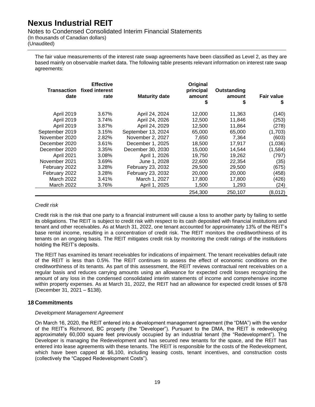## Notes to Condensed Consolidated Interim Financial Statements

(In thousands of Canadian dollars)

(Unaudited)

The fair value measurements of the interest rate swap agreements have been classified as Level 2, as they are based mainly on observable market data. The following table presents relevant information on interest rate swap agreements:

| Transaction<br>date | <b>Effective</b><br>fixed interest<br>rate | <b>Maturity date</b> | Original<br>principal<br>amount<br>\$ | Outstanding<br>amount<br>S | <b>Fair value</b><br>S |
|---------------------|--------------------------------------------|----------------------|---------------------------------------|----------------------------|------------------------|
| April 2019          | 3.67%                                      | April 24, 2024       | 12,000                                | 11,363                     | (140)                  |
| April 2019          | 3.74%                                      | April 24, 2026       | 12,500                                | 11,846                     | (253)                  |
| April 2019          | 3.87%                                      | April 24, 2029       | 12,500                                | 11,864                     | (278)                  |
| September 2019      | 3.15%                                      | September 13, 2024   | 65,000                                | 65,000                     | (1,703)                |
| November 2020       | 2.82%                                      | November 2, 2027     | 7,650                                 | 7,364                      | (603)                  |
| December 2020       | 3.61%                                      | December 1, 2025     | 18,500                                | 17,917                     | (1,036)                |
| December 2020       | 3.35%                                      | December 30, 2030    | 15,000                                | 14,544                     | (1,584)                |
| <b>April 2021</b>   | 3.08%                                      | April 1, 2026        | 19,750                                | 19,262                     | (797)                  |
| November 2021       | 3.69%                                      | June 1, 2028         | 22,600                                | 22,354                     | (35)                   |
| February 2022       | 3.28%                                      | February 23, 2032    | 29,500                                | 29,500                     | (675)                  |
| February 2022       | 3.28%                                      | February 23, 2032    | 20,000                                | 20,000                     | (458)                  |
| <b>March 2022</b>   | 3.41%                                      | March 1, 2027        | 17,800                                | 17,800                     | (426)                  |
| <b>March 2022</b>   | 3.76%                                      | April 1, 2025        | 1,500                                 | 1.293                      | (24)                   |
|                     |                                            |                      | 254.300                               | 250,107                    | (8,012)                |

### *Credit risk*

Credit risk is the risk that one party to a financial instrument will cause a loss to another party by failing to settle its obligations. The REIT is subject to credit risk with respect to its cash deposited with financial institutions and tenant and other receivables. As at March 31, 2022, one tenant accounted for approximately 13% of the REIT's base rental income, resulting in a concentration of credit risk. The REIT monitors the creditworthiness of its tenants on an ongoing basis. The REIT mitigates credit risk by monitoring the credit ratings of the institutions holding the REIT's deposits.

The REIT has examined its tenant receivables for indications of impairment. The tenant receivables default rate of the REIT is less than 0.5%. The REIT continues to assess the effect of economic conditions on the creditworthiness of its tenants. As part of this assessment, the REIT reviews contractual rent receivables on a regular basis and reduces carrying amounts using an allowance for expected credit losses recognizing the amount of any loss in the condensed consolidated interim statements of income and comprehensive income within property expenses. As at March 31, 2022, the REIT had an allowance for expected credit losses of \$78 (December 31, 2021 – \$138).

## **18 Commitments**

#### *Development Management Agreement*

On March 16, 2020, the REIT entered into a development management agreement (the "DMA") with the vendor of the REIT's Richmond, BC property (the "Developer"). Pursuant to the DMA, the REIT is redeveloping approximately 60,000 square feet previously occupied by an industrial tenant (the "Redevelopment"). The Developer is managing the Redevelopment and has secured new tenants for the space, and the REIT has entered into lease agreements with these tenants. The REIT is responsible for the costs of the Redevelopment, which have been capped at \$6,100, including leasing costs, tenant incentives, and construction costs (collectively the "Capped Redevelopment Costs").